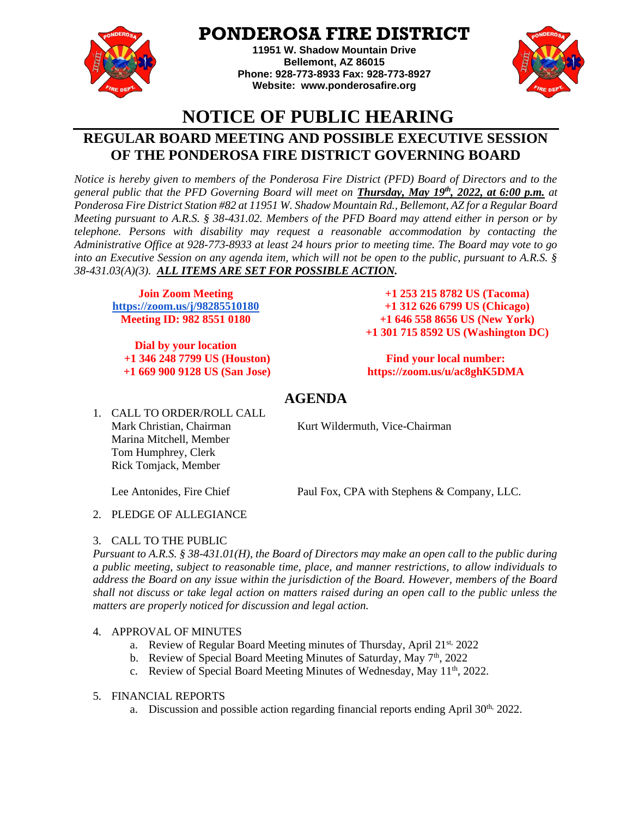

# **PONDEROSA FIRE DISTRICT**

**11951 W. Shadow Mountain Drive Bellemont, AZ 86015 Phone: 928-773-8933 Fax: 928-773-8927 Website: [www.ponderosafire.org](http://www.ponderosafire.org/)**



# **NOTICE OF PUBLIC HEARING**

# **REGULAR BOARD MEETING AND POSSIBLE EXECUTIVE SESSION OF THE PONDEROSA FIRE DISTRICT GOVERNING BOARD**

*Notice is hereby given to members of the Ponderosa Fire District (PFD) Board of Directors and to the general public that the PFD Governing Board will meet on Thursday, May 19th, 2022, at 6:00 p.m. at Ponderosa Fire District Station #82 at 11951 W. Shadow Mountain Rd., Bellemont, AZ for a Regular Board Meeting pursuant to A.R.S. § 38-431.02. Members of the PFD Board may attend either in person or by telephone. Persons with disability may request a reasonable accommodation by contacting the Administrative Office at 928-773-8933 at least 24 hours prior to meeting time. The Board may vote to go into an Executive Session on any agenda item, which will not be open to the public, pursuant to A.R.S. § 38-431.03(A)(3). ALL ITEMS ARE SET FOR POSSIBLE ACTION.* 

**Join Zoom Meeting <https://zoom.us/j/98285510180> Meeting ID: 982 8551 0180**

**Dial by your location +1 346 248 7799 US (Houston) +1 669 900 9128 US (San Jose)**

 **+1 253 215 8782 US (Tacoma) +1 312 626 6799 US (Chicago) +1 646 558 8656 US (New York) +1 301 715 8592 US (Washington DC)**

**Find your local number: https://zoom.us/u/ac8ghK5DMA**

# **AGENDA**

1. CALL TO ORDER/ROLL CALL Mark Christian, Chairman Kurt Wildermuth, Vice-Chairman Marina Mitchell, Member Tom Humphrey, Clerk Rick Tomjack, Member

Lee Antonides, Fire Chief Paul Fox, CPA with Stephens & Company, LLC.

2. PLEDGE OF ALLEGIANCE

## 3. CALL TO THE PUBLIC

*Pursuant to A.R.S. § 38-431.01(H), the Board of Directors may make an open call to the public during a public meeting, subject to reasonable time, place, and manner restrictions, to allow individuals to address the Board on any issue within the jurisdiction of the Board. However, members of the Board shall not discuss or take legal action on matters raised during an open call to the public unless the matters are properly noticed for discussion and legal action.* 

## 4. APPROVAL OF MINUTES

- a. Review of Regular Board Meeting minutes of Thursday, April 21st, 2022
- b. Review of Special Board Meeting Minutes of Saturday, May  $7<sup>th</sup>$ , 2022
- c. Review of Special Board Meeting Minutes of Wednesday, May 11<sup>th</sup>, 2022.

## 5. FINANCIAL REPORTS

a. Discussion and possible action regarding financial reports ending April  $30<sup>th</sup>$ , 2022.